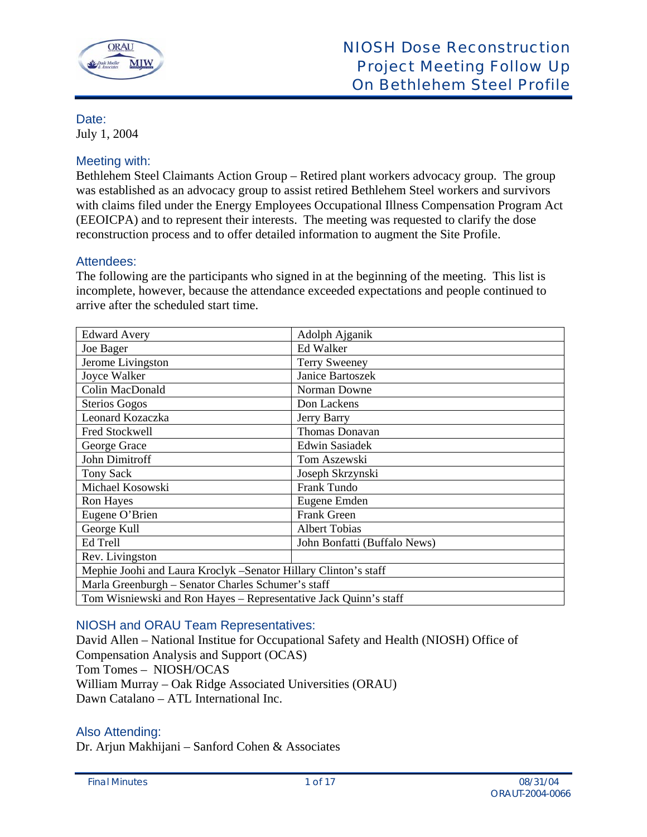

# Date:

July 1, 2004

# Meeting with:

Bethlehem Steel Claimants Action Group – Retired plant workers advocacy group. The group was established as an advocacy group to assist retired Bethlehem Steel workers and survivors with claims filed under the Energy Employees Occupational Illness Compensation Program Act (EEOICPA) and to represent their interests. The meeting was requested to clarify the dose reconstruction process and to offer detailed information to augment the Site Profile.

# Attendees:

The following are the participants who signed in at the beginning of the meeting. This list is incomplete, however, because the attendance exceeded expectations and people continued to arrive after the scheduled start time.

| <b>Edward Avery</b>                                              | Adolph Ajganik               |
|------------------------------------------------------------------|------------------------------|
| Joe Bager                                                        | <b>Ed Walker</b>             |
| Jerome Livingston                                                | <b>Terry Sweeney</b>         |
| Joyce Walker                                                     | Janice Bartoszek             |
| Colin MacDonald                                                  | Norman Downe                 |
| <b>Sterios Gogos</b>                                             | Don Lackens                  |
| Leonard Kozaczka                                                 | Jerry Barry                  |
| Fred Stockwell                                                   | Thomas Donavan               |
| George Grace                                                     | <b>Edwin Sasiadek</b>        |
| <b>John Dimitroff</b>                                            | Tom Aszewski                 |
| Tony Sack                                                        | Joseph Skrzynski             |
| Michael Kosowski                                                 | Frank Tundo                  |
| Ron Hayes                                                        | Eugene Emden                 |
| Eugene O'Brien                                                   | <b>Frank Green</b>           |
| George Kull                                                      | <b>Albert Tobias</b>         |
| Ed Trell                                                         | John Bonfatti (Buffalo News) |
| Rev. Livingston                                                  |                              |
| Mephie Joohi and Laura Kroclyk -Senator Hillary Clinton's staff  |                              |
| Marla Greenburgh - Senator Charles Schumer's staff               |                              |
| Tom Wisniewski and Ron Hayes – Representative Jack Quinn's staff |                              |

# NIOSH and ORAU Team Representatives:

David Allen – National Institue for Occupational Safety and Health (NIOSH) Office of Compensation Analysis and Support (OCAS) Tom Tomes – NIOSH/OCAS William Murray – Oak Ridge Associated Universities (ORAU) Dawn Catalano – ATL International Inc.

# Also Attending:

Dr. Arjun Makhijani – Sanford Cohen & Associates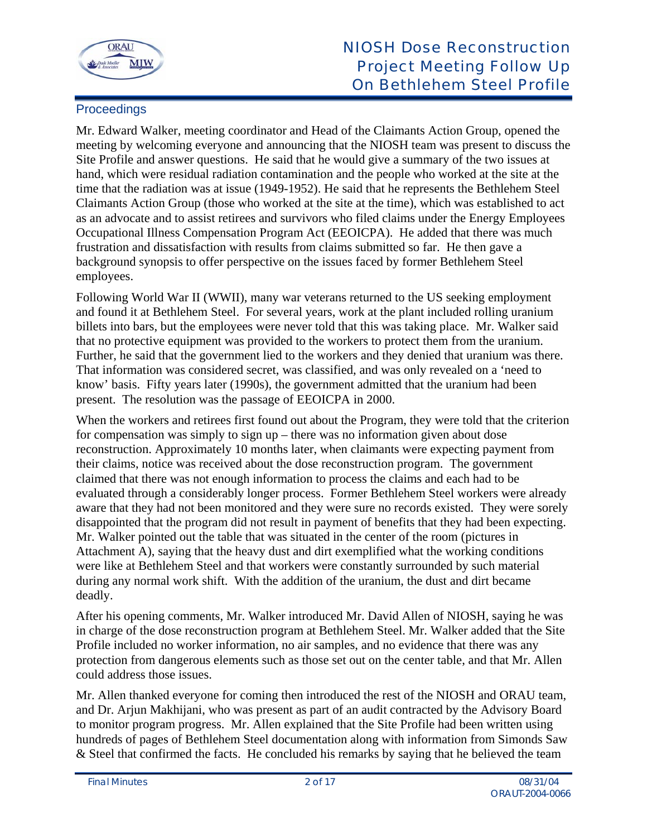

# **Proceedings**

Mr. Edward Walker, meeting coordinator and Head of the Claimants Action Group, opened the meeting by welcoming everyone and announcing that the NIOSH team was present to discuss the Site Profile and answer questions. He said that he would give a summary of the two issues at hand, which were residual radiation contamination and the people who worked at the site at the time that the radiation was at issue (1949-1952). He said that he represents the Bethlehem Steel Claimants Action Group (those who worked at the site at the time), which was established to act as an advocate and to assist retirees and survivors who filed claims under the Energy Employees Occupational Illness Compensation Program Act (EEOICPA). He added that there was much frustration and dissatisfaction with results from claims submitted so far. He then gave a background synopsis to offer perspective on the issues faced by former Bethlehem Steel employees.

Following World War II (WWII), many war veterans returned to the US seeking employment and found it at Bethlehem Steel. For several years, work at the plant included rolling uranium billets into bars, but the employees were never told that this was taking place. Mr. Walker said that no protective equipment was provided to the workers to protect them from the uranium. Further, he said that the government lied to the workers and they denied that uranium was there. That information was considered secret, was classified, and was only revealed on a 'need to know' basis. Fifty years later (1990s), the government admitted that the uranium had been present. The resolution was the passage of EEOICPA in 2000.

When the workers and retirees first found out about the Program, they were told that the criterion for compensation was simply to sign up – there was no information given about dose reconstruction. Approximately 10 months later, when claimants were expecting payment from their claims, notice was received about the dose reconstruction program. The government claimed that there was not enough information to process the claims and each had to be evaluated through a considerably longer process. Former Bethlehem Steel workers were already aware that they had not been monitored and they were sure no records existed. They were sorely disappointed that the program did not result in payment of benefits that they had been expecting. Mr. Walker pointed out the table that was situated in the center of the room (pictures in Attachment A), saying that the heavy dust and dirt exemplified what the working conditions were like at Bethlehem Steel and that workers were constantly surrounded by such material during any normal work shift. With the addition of the uranium, the dust and dirt became deadly.

After his opening comments, Mr. Walker introduced Mr. David Allen of NIOSH, saying he was in charge of the dose reconstruction program at Bethlehem Steel. Mr. Walker added that the Site Profile included no worker information, no air samples, and no evidence that there was any protection from dangerous elements such as those set out on the center table, and that Mr. Allen could address those issues.

Mr. Allen thanked everyone for coming then introduced the rest of the NIOSH and ORAU team, and Dr. Arjun Makhijani, who was present as part of an audit contracted by the Advisory Board to monitor program progress. Mr. Allen explained that the Site Profile had been written using hundreds of pages of Bethlehem Steel documentation along with information from Simonds Saw & Steel that confirmed the facts. He concluded his remarks by saying that he believed the team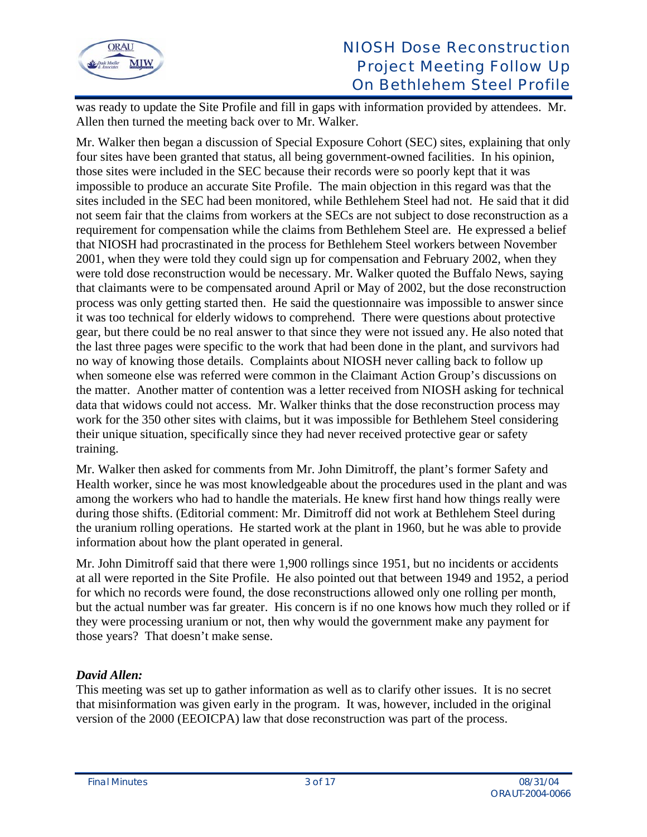

was ready to update the Site Profile and fill in gaps with information provided by attendees. Mr. Allen then turned the meeting back over to Mr. Walker.

Mr. Walker then began a discussion of Special Exposure Cohort (SEC) sites, explaining that only four sites have been granted that status, all being government-owned facilities. In his opinion, those sites were included in the SEC because their records were so poorly kept that it was impossible to produce an accurate Site Profile. The main objection in this regard was that the sites included in the SEC had been monitored, while Bethlehem Steel had not. He said that it did not seem fair that the claims from workers at the SECs are not subject to dose reconstruction as a requirement for compensation while the claims from Bethlehem Steel are. He expressed a belief that NIOSH had procrastinated in the process for Bethlehem Steel workers between November 2001, when they were told they could sign up for compensation and February 2002, when they were told dose reconstruction would be necessary. Mr. Walker quoted the Buffalo News, saying that claimants were to be compensated around April or May of 2002, but the dose reconstruction process was only getting started then. He said the questionnaire was impossible to answer since it was too technical for elderly widows to comprehend. There were questions about protective gear, but there could be no real answer to that since they were not issued any. He also noted that the last three pages were specific to the work that had been done in the plant, and survivors had no way of knowing those details. Complaints about NIOSH never calling back to follow up when someone else was referred were common in the Claimant Action Group's discussions on the matter. Another matter of contention was a letter received from NIOSH asking for technical data that widows could not access. Mr. Walker thinks that the dose reconstruction process may work for the 350 other sites with claims, but it was impossible for Bethlehem Steel considering their unique situation, specifically since they had never received protective gear or safety training.

Mr. Walker then asked for comments from Mr. John Dimitroff, the plant's former Safety and Health worker, since he was most knowledgeable about the procedures used in the plant and was among the workers who had to handle the materials. He knew first hand how things really were during those shifts. (Editorial comment: Mr. Dimitroff did not work at Bethlehem Steel during the uranium rolling operations. He started work at the plant in 1960, but he was able to provide information about how the plant operated in general.

Mr. John Dimitroff said that there were 1,900 rollings since 1951, but no incidents or accidents at all were reported in the Site Profile. He also pointed out that between 1949 and 1952, a period for which no records were found, the dose reconstructions allowed only one rolling per month, but the actual number was far greater. His concern is if no one knows how much they rolled or if they were processing uranium or not, then why would the government make any payment for those years? That doesn't make sense.

# *David Allen:*

This meeting was set up to gather information as well as to clarify other issues. It is no secret that misinformation was given early in the program. It was, however, included in the original version of the 2000 (EEOICPA) law that dose reconstruction was part of the process.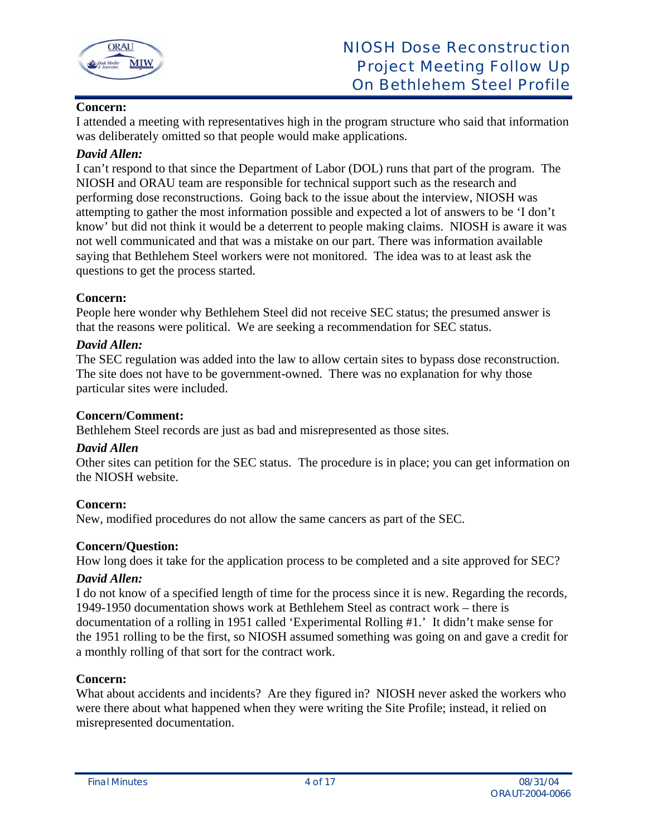

# **Concern:**

I attended a meeting with representatives high in the program structure who said that information was deliberately omitted so that people would make applications.

## *David Allen:*

I can't respond to that since the Department of Labor (DOL) runs that part of the program. The NIOSH and ORAU team are responsible for technical support such as the research and performing dose reconstructions. Going back to the issue about the interview, NIOSH was attempting to gather the most information possible and expected a lot of answers to be 'I don't know' but did not think it would be a deterrent to people making claims. NIOSH is aware it was not well communicated and that was a mistake on our part. There was information available saying that Bethlehem Steel workers were not monitored. The idea was to at least ask the questions to get the process started.

## **Concern:**

People here wonder why Bethlehem Steel did not receive SEC status; the presumed answer is that the reasons were political. We are seeking a recommendation for SEC status.

## *David Allen:*

The SEC regulation was added into the law to allow certain sites to bypass dose reconstruction. The site does not have to be government-owned. There was no explanation for why those particular sites were included.

## **Concern/Comment:**

Bethlehem Steel records are just as bad and misrepresented as those sites.

# *David Allen*

Other sites can petition for the SEC status. The procedure is in place; you can get information on the NIOSH website.

# **Concern:**

New, modified procedures do not allow the same cancers as part of the SEC.

# **Concern/Question:**

How long does it take for the application process to be completed and a site approved for SEC?

# *David Allen:*

I do not know of a specified length of time for the process since it is new. Regarding the records, 1949-1950 documentation shows work at Bethlehem Steel as contract work – there is documentation of a rolling in 1951 called 'Experimental Rolling #1.' It didn't make sense for the 1951 rolling to be the first, so NIOSH assumed something was going on and gave a credit for a monthly rolling of that sort for the contract work.

# **Concern:**

What about accidents and incidents? Are they figured in? NIOSH never asked the workers who were there about what happened when they were writing the Site Profile; instead, it relied on misrepresented documentation.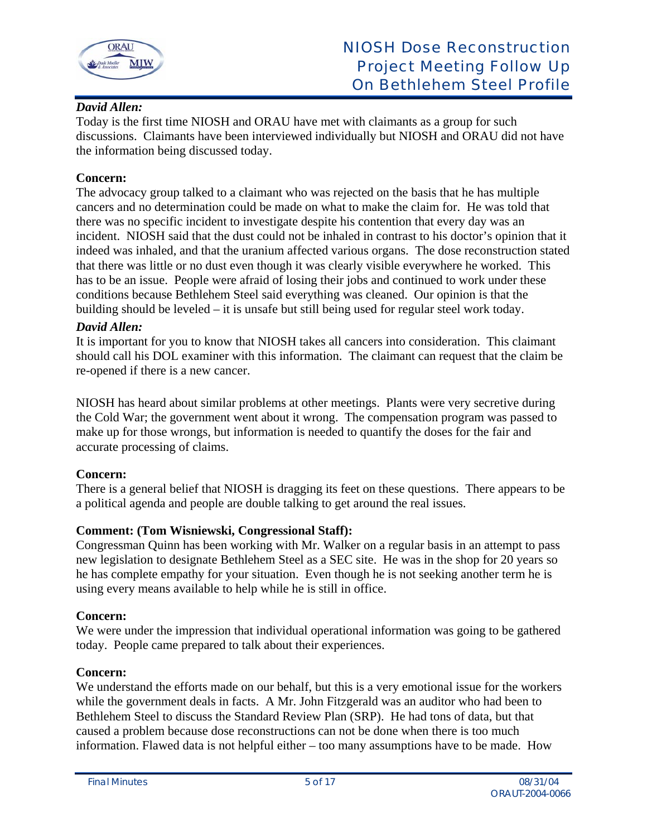

# *David Allen:*

Today is the first time NIOSH and ORAU have met with claimants as a group for such discussions. Claimants have been interviewed individually but NIOSH and ORAU did not have the information being discussed today.

# **Concern:**

The advocacy group talked to a claimant who was rejected on the basis that he has multiple cancers and no determination could be made on what to make the claim for. He was told that there was no specific incident to investigate despite his contention that every day was an incident. NIOSH said that the dust could not be inhaled in contrast to his doctor's opinion that it indeed was inhaled, and that the uranium affected various organs. The dose reconstruction stated that there was little or no dust even though it was clearly visible everywhere he worked. This has to be an issue. People were afraid of losing their jobs and continued to work under these conditions because Bethlehem Steel said everything was cleaned. Our opinion is that the building should be leveled – it is unsafe but still being used for regular steel work today.

# *David Allen:*

It is important for you to know that NIOSH takes all cancers into consideration. This claimant should call his DOL examiner with this information. The claimant can request that the claim be re-opened if there is a new cancer.

NIOSH has heard about similar problems at other meetings. Plants were very secretive during the Cold War; the government went about it wrong. The compensation program was passed to make up for those wrongs, but information is needed to quantify the doses for the fair and accurate processing of claims.

# **Concern:**

There is a general belief that NIOSH is dragging its feet on these questions. There appears to be a political agenda and people are double talking to get around the real issues.

# **Comment: (Tom Wisniewski, Congressional Staff):**

Congressman Quinn has been working with Mr. Walker on a regular basis in an attempt to pass new legislation to designate Bethlehem Steel as a SEC site. He was in the shop for 20 years so he has complete empathy for your situation. Even though he is not seeking another term he is using every means available to help while he is still in office.

## **Concern:**

We were under the impression that individual operational information was going to be gathered today. People came prepared to talk about their experiences.

## **Concern:**

We understand the efforts made on our behalf, but this is a very emotional issue for the workers while the government deals in facts. A Mr. John Fitzgerald was an auditor who had been to Bethlehem Steel to discuss the Standard Review Plan (SRP). He had tons of data, but that caused a problem because dose reconstructions can not be done when there is too much information. Flawed data is not helpful either – too many assumptions have to be made. How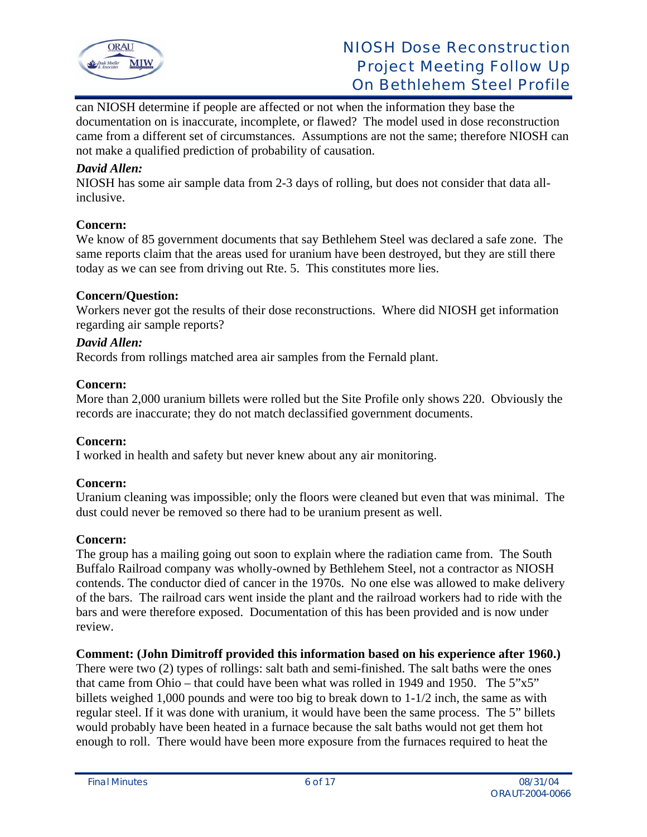

can NIOSH determine if people are affected or not when the information they base the documentation on is inaccurate, incomplete, or flawed? The model used in dose reconstruction came from a different set of circumstances. Assumptions are not the same; therefore NIOSH can not make a qualified prediction of probability of causation.

## *David Allen:*

NIOSH has some air sample data from 2-3 days of rolling, but does not consider that data allinclusive.

## **Concern:**

We know of 85 government documents that say Bethlehem Steel was declared a safe zone. The same reports claim that the areas used for uranium have been destroyed, but they are still there today as we can see from driving out Rte. 5. This constitutes more lies.

## **Concern/Question:**

Workers never got the results of their dose reconstructions. Where did NIOSH get information regarding air sample reports?

## *David Allen:*

Records from rollings matched area air samples from the Fernald plant.

## **Concern:**

More than 2,000 uranium billets were rolled but the Site Profile only shows 220. Obviously the records are inaccurate; they do not match declassified government documents.

## **Concern:**

I worked in health and safety but never knew about any air monitoring.

# **Concern:**

Uranium cleaning was impossible; only the floors were cleaned but even that was minimal. The dust could never be removed so there had to be uranium present as well.

## **Concern:**

The group has a mailing going out soon to explain where the radiation came from. The South Buffalo Railroad company was wholly-owned by Bethlehem Steel, not a contractor as NIOSH contends. The conductor died of cancer in the 1970s. No one else was allowed to make delivery of the bars. The railroad cars went inside the plant and the railroad workers had to ride with the bars and were therefore exposed. Documentation of this has been provided and is now under review.

## **Comment: (John Dimitroff provided this information based on his experience after 1960.)**

There were two (2) types of rollings: salt bath and semi-finished. The salt baths were the ones that came from Ohio – that could have been what was rolled in 1949 and 1950. The  $5"x5"$ billets weighed 1,000 pounds and were too big to break down to 1-1/2 inch, the same as with regular steel. If it was done with uranium, it would have been the same process. The 5" billets would probably have been heated in a furnace because the salt baths would not get them hot enough to roll. There would have been more exposure from the furnaces required to heat the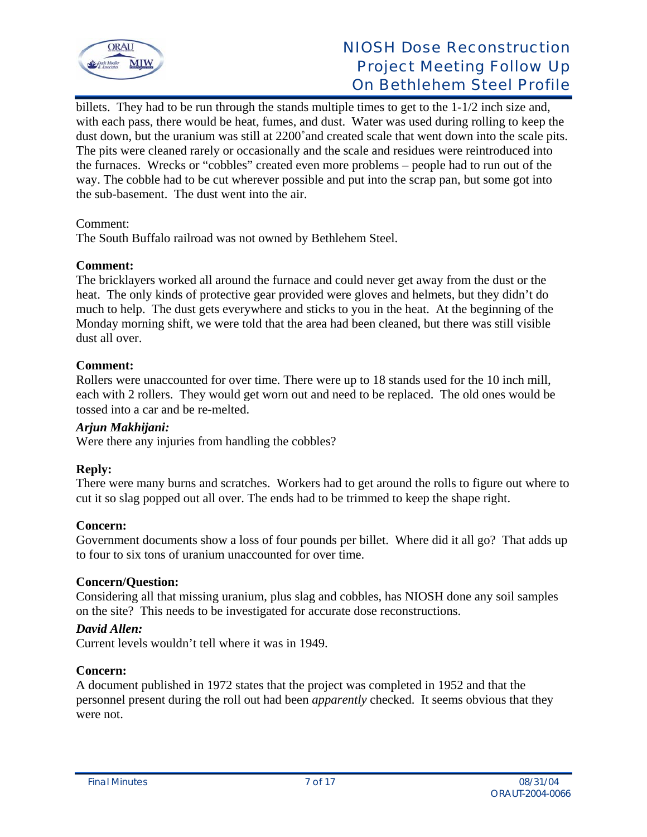

billets. They had to be run through the stands multiple times to get to the 1-1/2 inch size and, with each pass, there would be heat, fumes, and dust. Water was used during rolling to keep the dust down, but the uranium was still at 2200˚and created scale that went down into the scale pits. The pits were cleaned rarely or occasionally and the scale and residues were reintroduced into the furnaces. Wrecks or "cobbles" created even more problems – people had to run out of the way. The cobble had to be cut wherever possible and put into the scrap pan, but some got into the sub-basement. The dust went into the air.

## Comment:

The South Buffalo railroad was not owned by Bethlehem Steel.

## **Comment:**

The bricklayers worked all around the furnace and could never get away from the dust or the heat. The only kinds of protective gear provided were gloves and helmets, but they didn't do much to help. The dust gets everywhere and sticks to you in the heat. At the beginning of the Monday morning shift, we were told that the area had been cleaned, but there was still visible dust all over.

## **Comment:**

Rollers were unaccounted for over time. There were up to 18 stands used for the 10 inch mill, each with 2 rollers. They would get worn out and need to be replaced. The old ones would be tossed into a car and be re-melted.

## *Arjun Makhijani:*

Were there any injuries from handling the cobbles?

## **Reply:**

There were many burns and scratches. Workers had to get around the rolls to figure out where to cut it so slag popped out all over. The ends had to be trimmed to keep the shape right.

## **Concern:**

Government documents show a loss of four pounds per billet. Where did it all go? That adds up to four to six tons of uranium unaccounted for over time.

## **Concern/Question:**

Considering all that missing uranium, plus slag and cobbles, has NIOSH done any soil samples on the site? This needs to be investigated for accurate dose reconstructions.

## *David Allen:*

Current levels wouldn't tell where it was in 1949.

## **Concern:**

A document published in 1972 states that the project was completed in 1952 and that the personnel present during the roll out had been *apparently* checked. It seems obvious that they were not.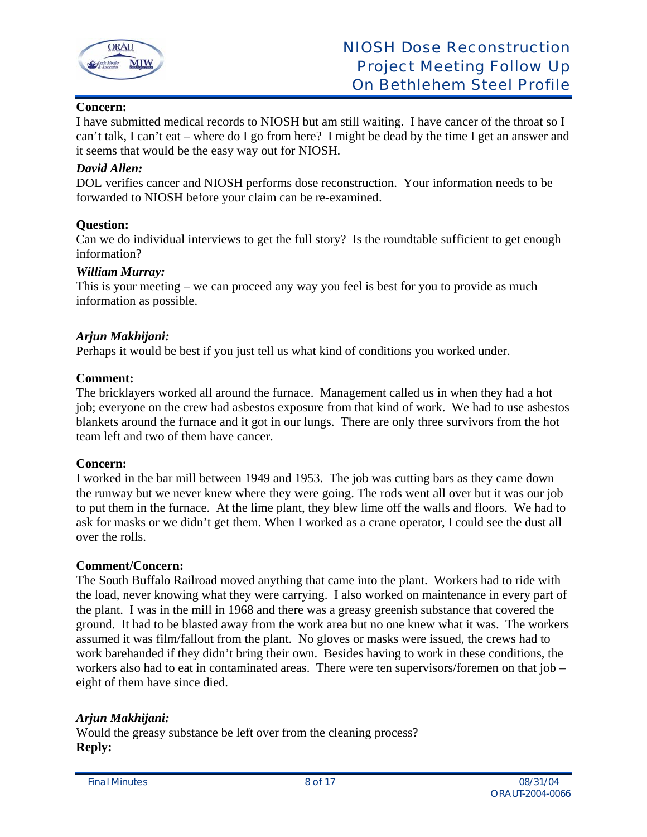

# **Concern:**

I have submitted medical records to NIOSH but am still waiting. I have cancer of the throat so I can't talk, I can't eat – where do I go from here? I might be dead by the time I get an answer and it seems that would be the easy way out for NIOSH.

## *David Allen:*

DOL verifies cancer and NIOSH performs dose reconstruction. Your information needs to be forwarded to NIOSH before your claim can be re-examined.

## **Question:**

Can we do individual interviews to get the full story? Is the roundtable sufficient to get enough information?

## *William Murray:*

This is your meeting – we can proceed any way you feel is best for you to provide as much information as possible.

## *Arjun Makhijani:*

Perhaps it would be best if you just tell us what kind of conditions you worked under.

## **Comment:**

The bricklayers worked all around the furnace. Management called us in when they had a hot job; everyone on the crew had asbestos exposure from that kind of work. We had to use asbestos blankets around the furnace and it got in our lungs. There are only three survivors from the hot team left and two of them have cancer.

## **Concern:**

I worked in the bar mill between 1949 and 1953. The job was cutting bars as they came down the runway but we never knew where they were going. The rods went all over but it was our job to put them in the furnace. At the lime plant, they blew lime off the walls and floors. We had to ask for masks or we didn't get them. When I worked as a crane operator, I could see the dust all over the rolls.

## **Comment/Concern:**

The South Buffalo Railroad moved anything that came into the plant. Workers had to ride with the load, never knowing what they were carrying. I also worked on maintenance in every part of the plant. I was in the mill in 1968 and there was a greasy greenish substance that covered the ground. It had to be blasted away from the work area but no one knew what it was. The workers assumed it was film/fallout from the plant. No gloves or masks were issued, the crews had to work barehanded if they didn't bring their own. Besides having to work in these conditions, the workers also had to eat in contaminated areas. There were ten supervisors/foremen on that job – eight of them have since died.

# *Arjun Makhijani:*

Would the greasy substance be left over from the cleaning process? **Reply:**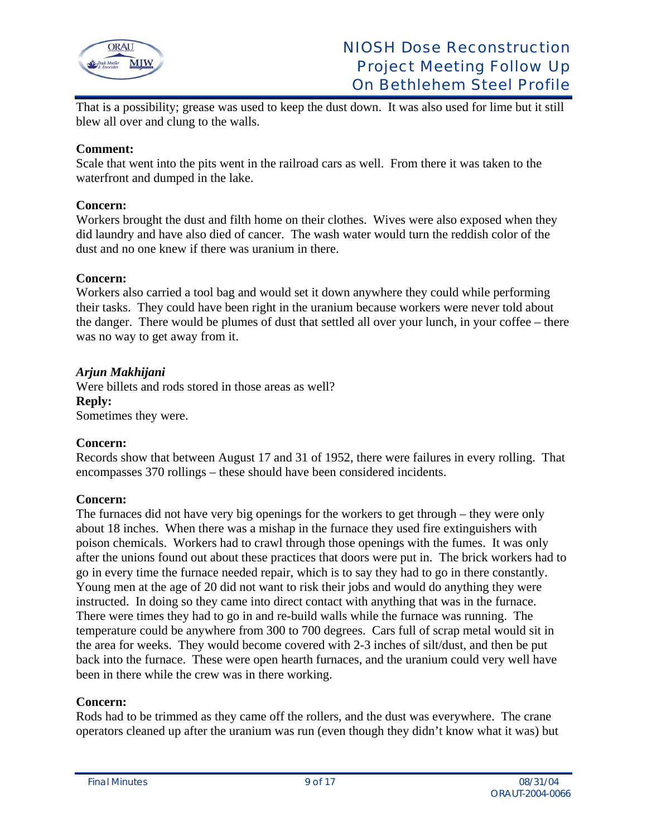

That is a possibility; grease was used to keep the dust down. It was also used for lime but it still blew all over and clung to the walls.

## **Comment:**

Scale that went into the pits went in the railroad cars as well. From there it was taken to the waterfront and dumped in the lake.

## **Concern:**

Workers brought the dust and filth home on their clothes. Wives were also exposed when they did laundry and have also died of cancer. The wash water would turn the reddish color of the dust and no one knew if there was uranium in there.

## **Concern:**

Workers also carried a tool bag and would set it down anywhere they could while performing their tasks. They could have been right in the uranium because workers were never told about the danger. There would be plumes of dust that settled all over your lunch, in your coffee – there was no way to get away from it.

## *Arjun Makhijani*

Were billets and rods stored in those areas as well? **Reply:**  Sometimes they were.

## **Concern:**

Records show that between August 17 and 31 of 1952, there were failures in every rolling. That encompasses 370 rollings – these should have been considered incidents.

## **Concern:**

The furnaces did not have very big openings for the workers to get through – they were only about 18 inches. When there was a mishap in the furnace they used fire extinguishers with poison chemicals. Workers had to crawl through those openings with the fumes. It was only after the unions found out about these practices that doors were put in. The brick workers had to go in every time the furnace needed repair, which is to say they had to go in there constantly. Young men at the age of 20 did not want to risk their jobs and would do anything they were instructed. In doing so they came into direct contact with anything that was in the furnace. There were times they had to go in and re-build walls while the furnace was running. The temperature could be anywhere from 300 to 700 degrees. Cars full of scrap metal would sit in the area for weeks. They would become covered with 2-3 inches of silt/dust, and then be put back into the furnace. These were open hearth furnaces, and the uranium could very well have been in there while the crew was in there working.

#### **Concern:**

Rods had to be trimmed as they came off the rollers, and the dust was everywhere. The crane operators cleaned up after the uranium was run (even though they didn't know what it was) but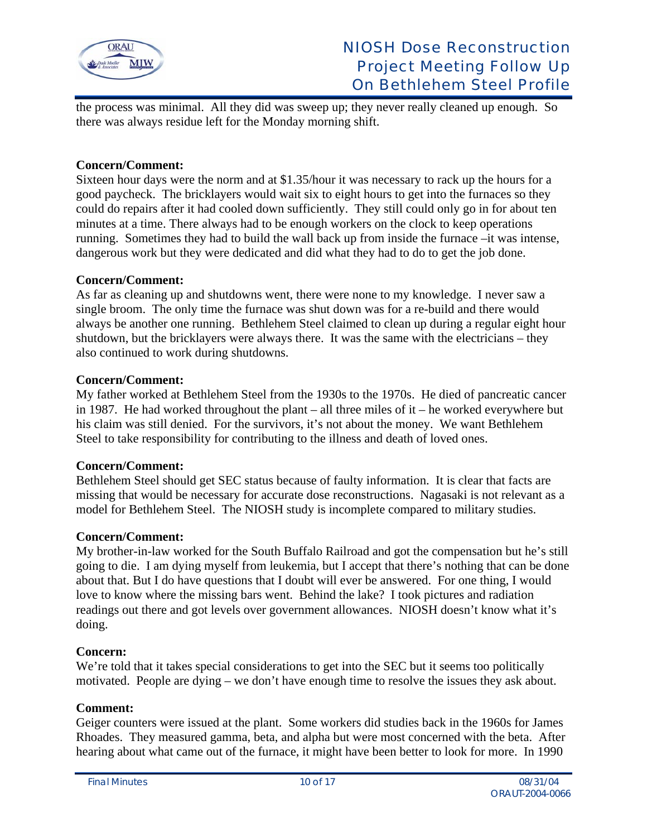

the process was minimal. All they did was sweep up; they never really cleaned up enough. So there was always residue left for the Monday morning shift.

## **Concern/Comment:**

Sixteen hour days were the norm and at \$1.35/hour it was necessary to rack up the hours for a good paycheck. The bricklayers would wait six to eight hours to get into the furnaces so they could do repairs after it had cooled down sufficiently. They still could only go in for about ten minutes at a time. There always had to be enough workers on the clock to keep operations running. Sometimes they had to build the wall back up from inside the furnace –it was intense, dangerous work but they were dedicated and did what they had to do to get the job done.

## **Concern/Comment:**

As far as cleaning up and shutdowns went, there were none to my knowledge. I never saw a single broom. The only time the furnace was shut down was for a re-build and there would always be another one running. Bethlehem Steel claimed to clean up during a regular eight hour shutdown, but the bricklayers were always there. It was the same with the electricians – they also continued to work during shutdowns.

#### **Concern/Comment:**

My father worked at Bethlehem Steel from the 1930s to the 1970s. He died of pancreatic cancer in 1987. He had worked throughout the plant – all three miles of it – he worked everywhere but his claim was still denied. For the survivors, it's not about the money. We want Bethlehem Steel to take responsibility for contributing to the illness and death of loved ones.

## **Concern/Comment:**

Bethlehem Steel should get SEC status because of faulty information. It is clear that facts are missing that would be necessary for accurate dose reconstructions. Nagasaki is not relevant as a model for Bethlehem Steel. The NIOSH study is incomplete compared to military studies.

## **Concern/Comment:**

My brother-in-law worked for the South Buffalo Railroad and got the compensation but he's still going to die. I am dying myself from leukemia, but I accept that there's nothing that can be done about that. But I do have questions that I doubt will ever be answered. For one thing, I would love to know where the missing bars went. Behind the lake? I took pictures and radiation readings out there and got levels over government allowances. NIOSH doesn't know what it's doing.

## **Concern:**

We're told that it takes special considerations to get into the SEC but it seems too politically motivated. People are dying – we don't have enough time to resolve the issues they ask about.

## **Comment:**

Geiger counters were issued at the plant. Some workers did studies back in the 1960s for James Rhoades. They measured gamma, beta, and alpha but were most concerned with the beta. After hearing about what came out of the furnace, it might have been better to look for more. In 1990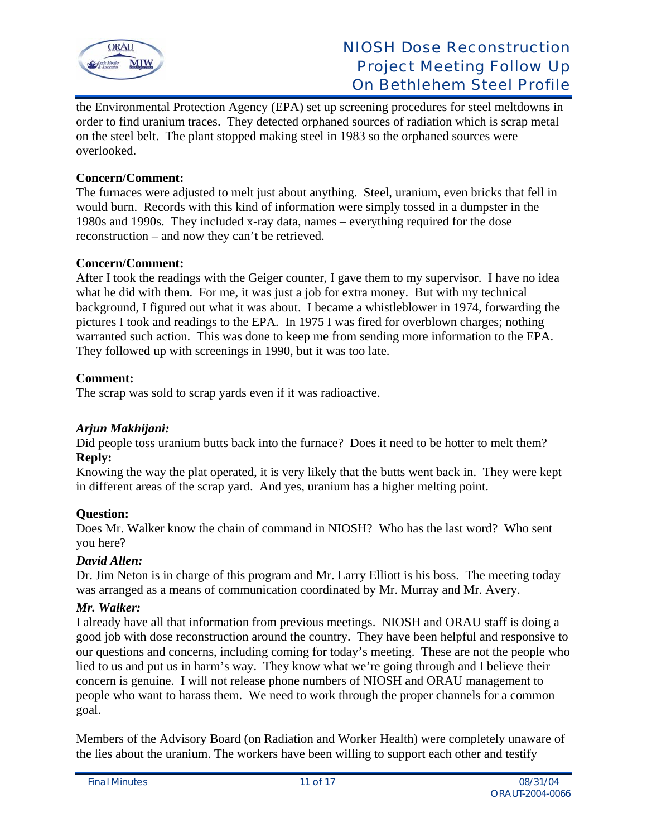

the Environmental Protection Agency (EPA) set up screening procedures for steel meltdowns in order to find uranium traces. They detected orphaned sources of radiation which is scrap metal on the steel belt. The plant stopped making steel in 1983 so the orphaned sources were overlooked.

## **Concern/Comment:**

The furnaces were adjusted to melt just about anything. Steel, uranium, even bricks that fell in would burn. Records with this kind of information were simply tossed in a dumpster in the 1980s and 1990s. They included x-ray data, names – everything required for the dose reconstruction – and now they can't be retrieved.

## **Concern/Comment:**

After I took the readings with the Geiger counter, I gave them to my supervisor. I have no idea what he did with them. For me, it was just a job for extra money. But with my technical background, I figured out what it was about. I became a whistleblower in 1974, forwarding the pictures I took and readings to the EPA. In 1975 I was fired for overblown charges; nothing warranted such action. This was done to keep me from sending more information to the EPA. They followed up with screenings in 1990, but it was too late.

## **Comment:**

The scrap was sold to scrap yards even if it was radioactive.

## *Arjun Makhijani:*

Did people toss uranium butts back into the furnace? Does it need to be hotter to melt them? **Reply:** 

Knowing the way the plat operated, it is very likely that the butts went back in. They were kept in different areas of the scrap yard. And yes, uranium has a higher melting point.

## **Question:**

Does Mr. Walker know the chain of command in NIOSH? Who has the last word? Who sent you here?

## *David Allen:*

Dr. Jim Neton is in charge of this program and Mr. Larry Elliott is his boss. The meeting today was arranged as a means of communication coordinated by Mr. Murray and Mr. Avery.

## *Mr. Walker:*

I already have all that information from previous meetings. NIOSH and ORAU staff is doing a good job with dose reconstruction around the country. They have been helpful and responsive to our questions and concerns, including coming for today's meeting. These are not the people who lied to us and put us in harm's way. They know what we're going through and I believe their concern is genuine. I will not release phone numbers of NIOSH and ORAU management to people who want to harass them. We need to work through the proper channels for a common goal.

Members of the Advisory Board (on Radiation and Worker Health) were completely unaware of the lies about the uranium. The workers have been willing to support each other and testify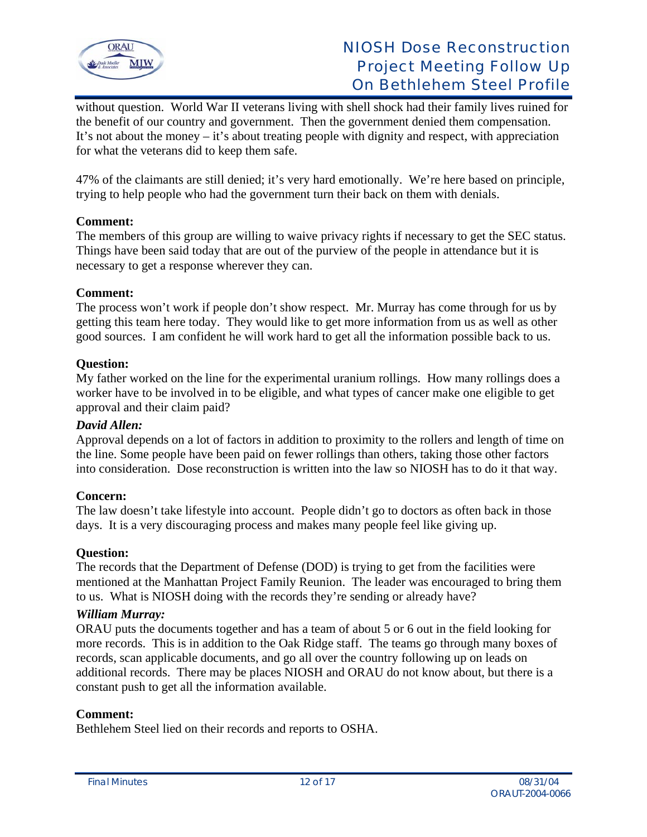

without question. World War II veterans living with shell shock had their family lives ruined for the benefit of our country and government. Then the government denied them compensation. It's not about the money – it's about treating people with dignity and respect, with appreciation for what the veterans did to keep them safe.

47% of the claimants are still denied; it's very hard emotionally. We're here based on principle, trying to help people who had the government turn their back on them with denials.

## **Comment:**

The members of this group are willing to waive privacy rights if necessary to get the SEC status. Things have been said today that are out of the purview of the people in attendance but it is necessary to get a response wherever they can.

## **Comment:**

The process won't work if people don't show respect. Mr. Murray has come through for us by getting this team here today. They would like to get more information from us as well as other good sources. I am confident he will work hard to get all the information possible back to us.

## **Question:**

My father worked on the line for the experimental uranium rollings. How many rollings does a worker have to be involved in to be eligible, and what types of cancer make one eligible to get approval and their claim paid?

## *David Allen:*

Approval depends on a lot of factors in addition to proximity to the rollers and length of time on the line. Some people have been paid on fewer rollings than others, taking those other factors into consideration. Dose reconstruction is written into the law so NIOSH has to do it that way.

# **Concern:**

The law doesn't take lifestyle into account. People didn't go to doctors as often back in those days. It is a very discouraging process and makes many people feel like giving up.

## **Question:**

The records that the Department of Defense (DOD) is trying to get from the facilities were mentioned at the Manhattan Project Family Reunion. The leader was encouraged to bring them to us. What is NIOSH doing with the records they're sending or already have?

## *William Murray:*

ORAU puts the documents together and has a team of about 5 or 6 out in the field looking for more records. This is in addition to the Oak Ridge staff. The teams go through many boxes of records, scan applicable documents, and go all over the country following up on leads on additional records. There may be places NIOSH and ORAU do not know about, but there is a constant push to get all the information available.

## **Comment:**

Bethlehem Steel lied on their records and reports to OSHA.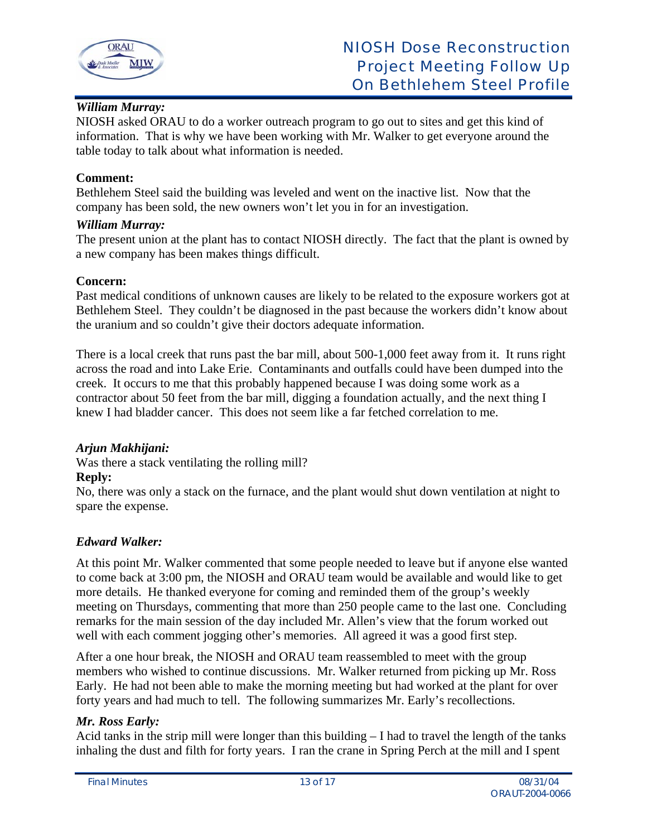

# *William Murray:*

NIOSH asked ORAU to do a worker outreach program to go out to sites and get this kind of information. That is why we have been working with Mr. Walker to get everyone around the table today to talk about what information is needed.

## **Comment:**

Bethlehem Steel said the building was leveled and went on the inactive list. Now that the company has been sold, the new owners won't let you in for an investigation.

## *William Murray:*

The present union at the plant has to contact NIOSH directly. The fact that the plant is owned by a new company has been makes things difficult.

## **Concern:**

Past medical conditions of unknown causes are likely to be related to the exposure workers got at Bethlehem Steel. They couldn't be diagnosed in the past because the workers didn't know about the uranium and so couldn't give their doctors adequate information.

There is a local creek that runs past the bar mill, about 500-1,000 feet away from it. It runs right across the road and into Lake Erie. Contaminants and outfalls could have been dumped into the creek. It occurs to me that this probably happened because I was doing some work as a contractor about 50 feet from the bar mill, digging a foundation actually, and the next thing I knew I had bladder cancer. This does not seem like a far fetched correlation to me.

# *Arjun Makhijani:*

Was there a stack ventilating the rolling mill?

## **Reply:**

No, there was only a stack on the furnace, and the plant would shut down ventilation at night to spare the expense.

# *Edward Walker:*

At this point Mr. Walker commented that some people needed to leave but if anyone else wanted to come back at 3:00 pm, the NIOSH and ORAU team would be available and would like to get more details. He thanked everyone for coming and reminded them of the group's weekly meeting on Thursdays, commenting that more than 250 people came to the last one. Concluding remarks for the main session of the day included Mr. Allen's view that the forum worked out well with each comment jogging other's memories. All agreed it was a good first step.

After a one hour break, the NIOSH and ORAU team reassembled to meet with the group members who wished to continue discussions. Mr. Walker returned from picking up Mr. Ross Early. He had not been able to make the morning meeting but had worked at the plant for over forty years and had much to tell. The following summarizes Mr. Early's recollections.

# *Mr. Ross Early:*

Acid tanks in the strip mill were longer than this building – I had to travel the length of the tanks inhaling the dust and filth for forty years. I ran the crane in Spring Perch at the mill and I spent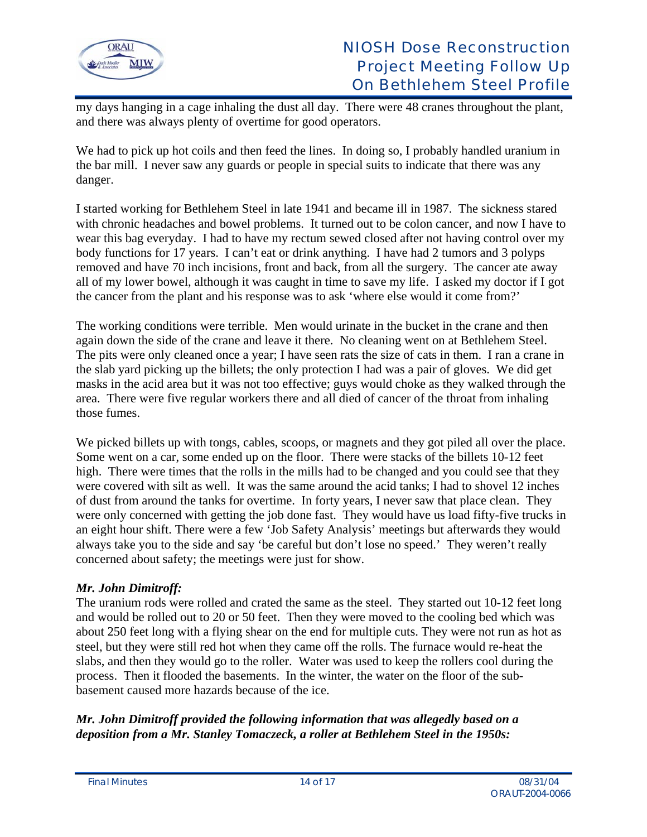

my days hanging in a cage inhaling the dust all day. There were 48 cranes throughout the plant, and there was always plenty of overtime for good operators.

We had to pick up hot coils and then feed the lines. In doing so, I probably handled uranium in the bar mill. I never saw any guards or people in special suits to indicate that there was any danger.

I started working for Bethlehem Steel in late 1941 and became ill in 1987. The sickness stared with chronic headaches and bowel problems. It turned out to be colon cancer, and now I have to wear this bag everyday. I had to have my rectum sewed closed after not having control over my body functions for 17 years. I can't eat or drink anything. I have had 2 tumors and 3 polyps removed and have 70 inch incisions, front and back, from all the surgery. The cancer ate away all of my lower bowel, although it was caught in time to save my life. I asked my doctor if I got the cancer from the plant and his response was to ask 'where else would it come from?'

The working conditions were terrible. Men would urinate in the bucket in the crane and then again down the side of the crane and leave it there. No cleaning went on at Bethlehem Steel. The pits were only cleaned once a year; I have seen rats the size of cats in them. I ran a crane in the slab yard picking up the billets; the only protection I had was a pair of gloves. We did get masks in the acid area but it was not too effective; guys would choke as they walked through the area. There were five regular workers there and all died of cancer of the throat from inhaling those fumes.

We picked billets up with tongs, cables, scoops, or magnets and they got piled all over the place. Some went on a car, some ended up on the floor. There were stacks of the billets 10-12 feet high. There were times that the rolls in the mills had to be changed and you could see that they were covered with silt as well. It was the same around the acid tanks; I had to shovel 12 inches of dust from around the tanks for overtime. In forty years, I never saw that place clean. They were only concerned with getting the job done fast. They would have us load fifty-five trucks in an eight hour shift. There were a few 'Job Safety Analysis' meetings but afterwards they would always take you to the side and say 'be careful but don't lose no speed.' They weren't really concerned about safety; the meetings were just for show.

# *Mr. John Dimitroff:*

The uranium rods were rolled and crated the same as the steel. They started out 10-12 feet long and would be rolled out to 20 or 50 feet. Then they were moved to the cooling bed which was about 250 feet long with a flying shear on the end for multiple cuts. They were not run as hot as steel, but they were still red hot when they came off the rolls. The furnace would re-heat the slabs, and then they would go to the roller. Water was used to keep the rollers cool during the process. Then it flooded the basements. In the winter, the water on the floor of the subbasement caused more hazards because of the ice.

# *Mr. John Dimitroff provided the following information that was allegedly based on a deposition from a Mr. Stanley Tomaczeck, a roller at Bethlehem Steel in the 1950s:*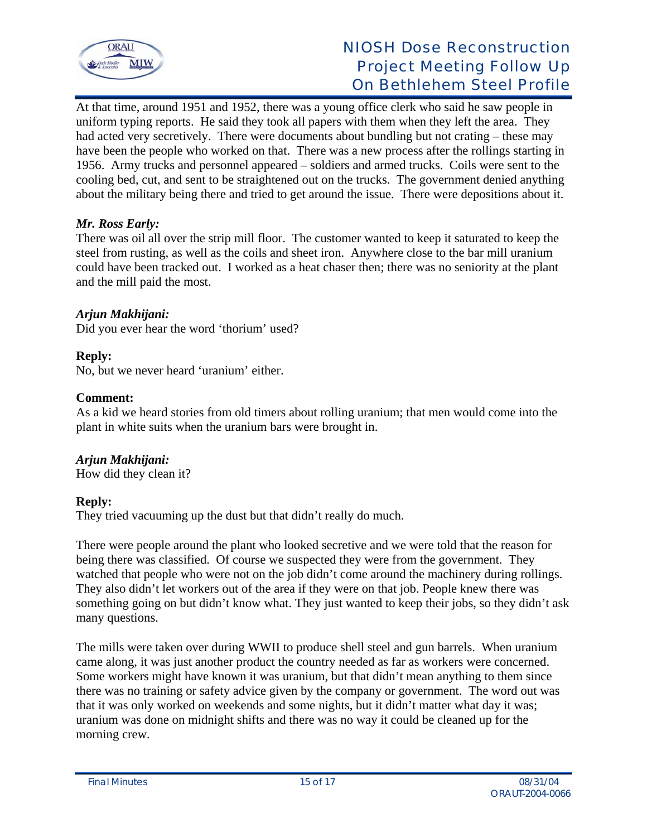

At that time, around 1951 and 1952, there was a young office clerk who said he saw people in uniform typing reports. He said they took all papers with them when they left the area. They had acted very secretively. There were documents about bundling but not crating – these may have been the people who worked on that. There was a new process after the rollings starting in 1956. Army trucks and personnel appeared – soldiers and armed trucks. Coils were sent to the cooling bed, cut, and sent to be straightened out on the trucks. The government denied anything about the military being there and tried to get around the issue. There were depositions about it.

# *Mr. Ross Early:*

There was oil all over the strip mill floor. The customer wanted to keep it saturated to keep the steel from rusting, as well as the coils and sheet iron. Anywhere close to the bar mill uranium could have been tracked out. I worked as a heat chaser then; there was no seniority at the plant and the mill paid the most.

# *Arjun Makhijani:*

Did you ever hear the word 'thorium' used?

## **Reply:**

No, but we never heard 'uranium' either.

## **Comment:**

As a kid we heard stories from old timers about rolling uranium; that men would come into the plant in white suits when the uranium bars were brought in.

# *Arjun Makhijani:*

How did they clean it?

# **Reply:**

They tried vacuuming up the dust but that didn't really do much.

There were people around the plant who looked secretive and we were told that the reason for being there was classified. Of course we suspected they were from the government. They watched that people who were not on the job didn't come around the machinery during rollings. They also didn't let workers out of the area if they were on that job. People knew there was something going on but didn't know what. They just wanted to keep their jobs, so they didn't ask many questions.

The mills were taken over during WWII to produce shell steel and gun barrels. When uranium came along, it was just another product the country needed as far as workers were concerned. Some workers might have known it was uranium, but that didn't mean anything to them since there was no training or safety advice given by the company or government. The word out was that it was only worked on weekends and some nights, but it didn't matter what day it was; uranium was done on midnight shifts and there was no way it could be cleaned up for the morning crew.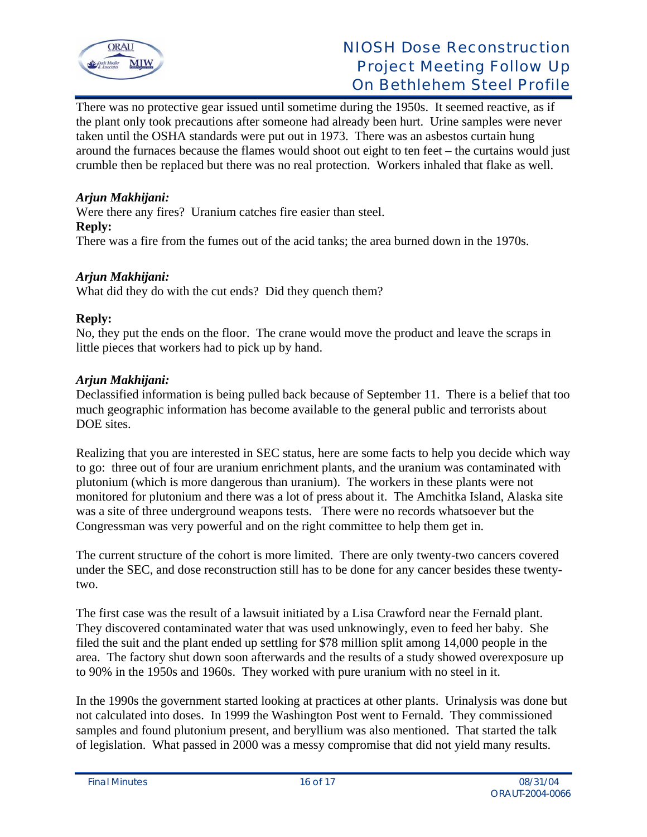

There was no protective gear issued until sometime during the 1950s. It seemed reactive, as if the plant only took precautions after someone had already been hurt. Urine samples were never taken until the OSHA standards were put out in 1973. There was an asbestos curtain hung around the furnaces because the flames would shoot out eight to ten feet – the curtains would just crumble then be replaced but there was no real protection. Workers inhaled that flake as well.

# *Arjun Makhijani:*

Were there any fires? Uranium catches fire easier than steel. **Reply:** 

There was a fire from the fumes out of the acid tanks; the area burned down in the 1970s.

#### *Arjun Makhijani:*

What did they do with the cut ends? Did they quench them?

#### **Reply:**

No, they put the ends on the floor. The crane would move the product and leave the scraps in little pieces that workers had to pick up by hand.

#### *Arjun Makhijani:*

Declassified information is being pulled back because of September 11. There is a belief that too much geographic information has become available to the general public and terrorists about DOE sites.

Realizing that you are interested in SEC status, here are some facts to help you decide which way to go: three out of four are uranium enrichment plants, and the uranium was contaminated with plutonium (which is more dangerous than uranium). The workers in these plants were not monitored for plutonium and there was a lot of press about it. The Amchitka Island, Alaska site was a site of three underground weapons tests. There were no records whatsoever but the Congressman was very powerful and on the right committee to help them get in.

The current structure of the cohort is more limited. There are only twenty-two cancers covered under the SEC, and dose reconstruction still has to be done for any cancer besides these twentytwo.

The first case was the result of a lawsuit initiated by a Lisa Crawford near the Fernald plant. They discovered contaminated water that was used unknowingly, even to feed her baby. She filed the suit and the plant ended up settling for \$78 million split among 14,000 people in the area. The factory shut down soon afterwards and the results of a study showed overexposure up to 90% in the 1950s and 1960s. They worked with pure uranium with no steel in it.

In the 1990s the government started looking at practices at other plants. Urinalysis was done but not calculated into doses. In 1999 the Washington Post went to Fernald. They commissioned samples and found plutonium present, and beryllium was also mentioned. That started the talk of legislation. What passed in 2000 was a messy compromise that did not yield many results.